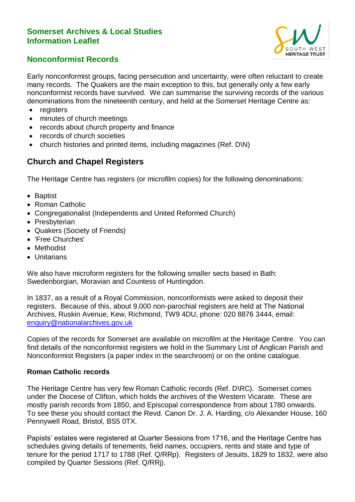#### **Somerset Archives & Local Studies Information Leaflet**



### **Nonconformist Records**

Early nonconformist groups, facing persecution and uncertainty, were often reluctant to create many records. The Quakers are the main exception to this, but generally only a few early nonconformist records have survived. We can summarise the surviving records of the various denominations from the nineteenth century, and held at the Somerset Heritage Centre as:

- registers
- minutes of church meetings
- records about church property and finance
- records of church societies
- church histories and printed items, including magazines (Ref. D\N)

## **Church and Chapel Registers**

The Heritage Centre has registers (or microfilm copies) for the following denominations:

- Baptist
- Roman Catholic
- Congregationalist (Independents and United Reformed Church)
- Presbyterian
- Quakers (Society of Friends)
- 'Free Churches'
- Methodist
- Unitarians

We also have microform registers for the following smaller sects based in Bath: Swedenborgian, Moravian and Countess of Huntingdon.

In 1837, as a result of a Royal Commission, nonconformists were asked to deposit their registers. Because of this, about 9,000 non-parochial registers are held at The National Archives, Ruskin Avenue, Kew, Richmond, TW9 4DU, phone: 020 8876 3444, email: [enquiry@nationalarchives.gov.uk](mailto:enquiry@nationalarchives.gov.uk)

Copies of the records for Somerset are available on microfilm at the Heritage Centre. You can find details of the nonconformist registers we hold in the Summary List of Anglican Parish and Nonconformist Registers (a paper index in the searchroom) or on the online catalogue.

#### **Roman Catholic records**

The Heritage Centre has very few Roman Catholic records (Ref. D\RC). Somerset comes under the Diocese of Clifton, which holds the archives of the Western Vicarate. These are mostly parish records from 1850, and Episcopal correspondence from about 1780 onwards. To see these you should contact the Revd. Canon Dr. J. A. Harding, c/o Alexander House, 160 Pennywell Road, Bristol, BS5 0TX.

Papists' estates were registered at Quarter Sessions from 1716, and the Heritage Centre has schedules giving details of tenements, field names, occupiers, rents and state and type of tenure for the period 1717 to 1788 (Ref. Q/RRp). Registers of Jesuits, 1829 to 1832, were also compiled by Quarter Sessions (Ref. Q/RRj).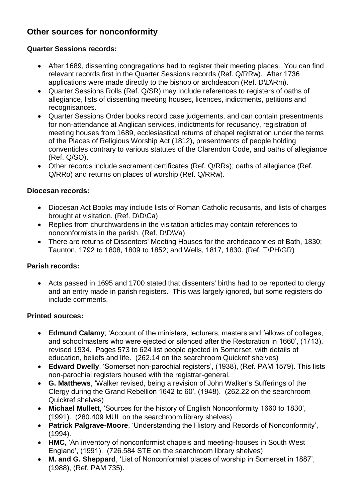# **Other sources for nonconformity**

#### **Quarter Sessions records:**

- After 1689, dissenting congregations had to register their meeting places. You can find relevant records first in the Quarter Sessions records (Ref. Q/RRw). After 1736 applications were made directly to the bishop or archdeacon (Ref. D\D\Rm).
- Quarter Sessions Rolls (Ref. Q/SR) may include references to registers of oaths of allegiance, lists of dissenting meeting houses, licences, indictments, petitions and recognisances.
- Quarter Sessions Order books record case judgements, and can contain presentments for non-attendance at Anglican services, indictments for recusancy, registration of meeting houses from 1689, ecclesiastical returns of chapel registration under the terms of the Places of Religious Worship Act (1812), presentments of people holding conventicles contrary to various statutes of the Clarendon Code, and oaths of allegiance (Ref. Q/SO).
- Other records include sacrament certificates (Ref. Q/RRs); oaths of allegiance (Ref. Q/RRo) and returns on places of worship (Ref. Q/RRw).

#### **Diocesan records:**

- Diocesan Act Books may include lists of Roman Catholic recusants, and lists of charges brought at visitation. (Ref. D\D\Ca)
- Replies from churchwardens in the visitation articles may contain references to nonconformists in the parish. (Ref. D\D\Va)
- There are returns of Dissenters' Meeting Houses for the archdeaconries of Bath, 1830; Taunton, 1792 to 1808, 1809 to 1852; and Wells, 1817, 1830. (Ref. T\PH\GR)

#### **Parish records:**

 Acts passed in 1695 and 1700 stated that dissenters' births had to be reported to clergy and an entry made in parish registers. This was largely ignored, but some registers do include comments.

#### **Printed sources:**

- **Edmund Calamy**; 'Account of the ministers, lecturers, masters and fellows of colleges, and schoolmasters who were ejected or silenced after the Restoration in 1660', (1713), revised 1934. Pages 573 to 624 list people ejected in Somerset, with details of education, beliefs and life. (262.14 on the searchroom Quickref shelves)
- **Edward Dwelly**, 'Somerset non-parochial registers', (1938), (Ref. PAM 1579). This lists non-parochial registers housed with the registrar-general.
- **G. Matthews**, 'Walker revised, being a revision of John Walker's Sufferings of the Clergy during the Grand Rebellion 1642 to 60', (1948). (262.22 on the searchroom Quickref shelves)
- **Michael Mullett**, 'Sources for the history of English Nonconformity 1660 to 1830', (1991). (280.409 MUL on the searchroom library shelves)
- **Patrick Palgrave-Moore**, 'Understanding the History and Records of Nonconformity', (1994).
- **HMC**, 'An inventory of nonconformist chapels and meeting-houses in South West England', (1991). (726.584 STE on the searchroom library shelves)
- **M. and G. Sheppard**, 'List of Nonconformist places of worship in Somerset in 1887', (1988), (Ref. PAM 735).